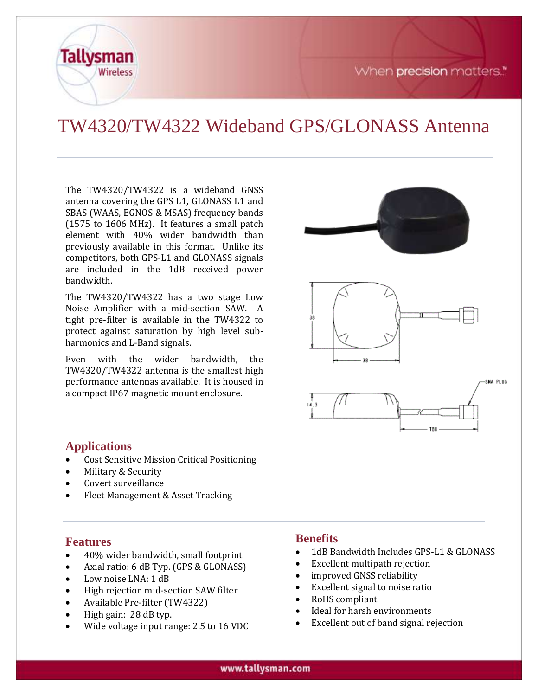



# TW4320/TW4322 Wideband GPS/GLONASS Antenna

The TW4320/TW4322 is a wideband GNSS antenna covering the GPS L1, GLONASS L1 and SBAS (WAAS, EGNOS & MSAS) frequency bands (1575 to 1606 MHz). It features a small patch element with 40% wider bandwidth than previously available in this format. Unlike its competitors, both GPS-L1 and GLONASS signals are included in the 1dB received power bandwidth.

The TW4320/TW4322 has a two stage Low Noise Amplifier with a mid-section SAW. A tight pre-filter is available in the TW4322 to protect against saturation by high level subharmonics and L-Band signals.

Even with the wider bandwidth, the TW4320/TW4322 antenna is the smallest high performance antennas available. It is housed in a compact IP67 magnetic mount enclosure.



#### **Applications**

- Cost Sensitive Mission Critical Positioning
- Military & Security
- Covert surveillance
- Fleet Management & Asset Tracking

#### **Features**

- 40% wider bandwidth, small footprint
- Axial ratio: 6 dB Typ. (GPS & GLONASS)
- Low noise LNA: 1 dB
- High rejection mid-section SAW filter
- Available Pre-filter (TW4322)
- High gain: 28 dB typ.
- Wide voltage input range: 2.5 to 16 VDC

#### **Benefits**

- 1dB Bandwidth Includes GPS-L1 & GLONASS
- Excellent multipath rejection
- improved GNSS reliability
- Excellent signal to noise ratio
- RoHS compliant
- Ideal for harsh environments
- Excellent out of band signal rejection